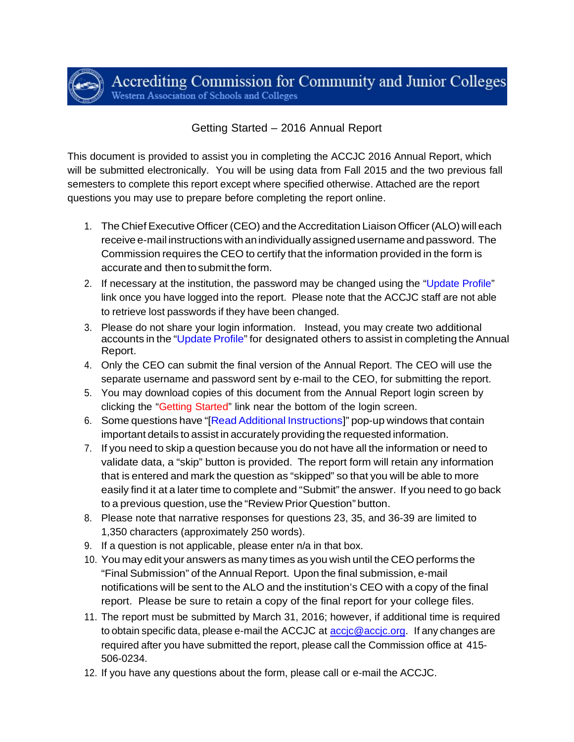Accrediting Commission for Community and Junior Colleges Western Association of Schools and Colleges

# Getting Started – 2016 Annual Report

This document is provided to assist you in completing the ACCJC 2016 Annual Report, which will be submitted electronically. You will be using data from Fall 2015 and the two previous fall semesters to complete this report except where specified otherwise. Attached are the report questions you may use to prepare before completing the report online.

- 1. The Chief Executive Officer (CEO) and the Accreditation Liaison Officer (ALO) will each receive e-mail instructions with an individually assigned username and password. The Commission requires the CEO to certify that the information provided in the form is accurate and then to submit the form.
- 2. If necessary at the institution, the password may be changed using the "Update Profile" link once you have logged into the report. Please note that the ACCJC staff are not able to retrieve lost passwords if they have been changed.
- 3. Please do not share your login information. Instead, you may create two additional accounts in the "Update Profile" for designated others to assist in completing the Annual Report.
- 4. Only the CEO can submit the final version of the Annual Report. The CEO will use the separate username and password sent by e-mail to the CEO, for submitting the report.
- 5. You may download copies of this document from the Annual Report login screen by clicking the "Getting Started" link near the bottom of the login screen.
- 6. Some questions have "[Read Additional Instructions]" pop-up windows that contain important details to assist in accurately providing the requested information.
- 7. If you need to skip a question because you do not have all the information or need to validate data, a "skip" button is provided. The report form will retain any information that is entered and mark the question as "skipped" so that you will be able to more easily find it at a later time to complete and "Submit" the answer. If you need to go back to a previous question, use the "Review Prior Question" button.
- 8. Please note that narrative responses for questions 23, 35, and 36-39 are limited to 1,350 characters (approximately 250 words).
- 9. If a question is not applicable, please enter n/a in that box.
- 10. You may edit your answers as many times as you wish until the CEO performs the "Final Submission" of the Annual Report. Upon the final submission, e-mail notifications will be sent to the ALO and the institution's CEO with a copy of the final report. Please be sure to retain a copy of the final report for your college files.
- 11. The report must be submitted by March 31, 2016; however, if additional time is required to obtain specific data, please e-mail the ACCJC at **accic@accic.org**. If any changes are required after you have submitted the report, please call the Commission office at 415- 506-0234.
- 12. If you have any questions about the form, please call or e-mail the ACCJC.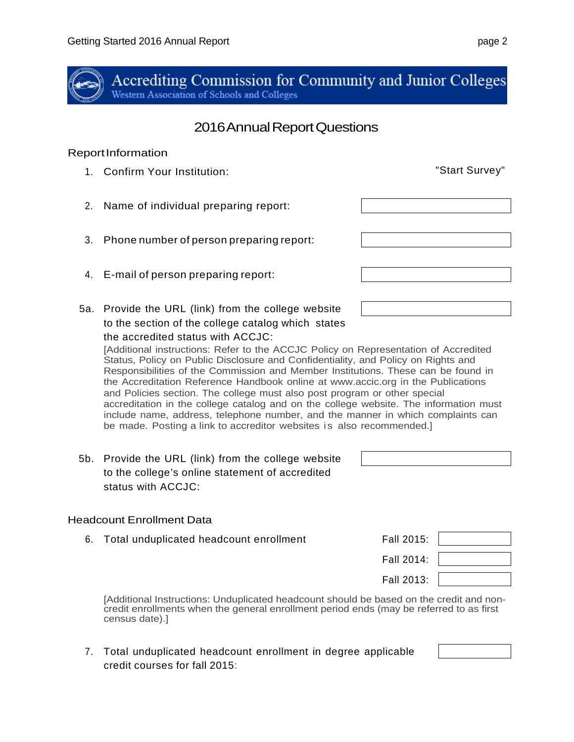

Accrediting Commission for Community and Junior Colleges Western Association of Schools and Colleges

# 2016 Annual Report Questions

### Report Information

- 1. Confirm Your Institution: "Start Survey"
- 2. Name of individual preparing report:
- 3. Phone number of person preparing report:
- 4. E-mail of person preparing report:
- 5a. Provide the URL (link) from the college website to the section of the college catalog which states the accredited status with ACCJC:

[Additional instructions: Refer to the ACCJC Policy on Representation of Accredited Status, Policy on Public Disclosure and Confidentiality, and Policy on Rights and Responsibilities of the Commission and Member Institutions. These can be found in the Accreditation Reference Handbook online at www.accic.org in the Publications and Policies section. The college must also post program or other special accreditation in the college catalog and on the college website. The information must include name, address, telephone number, and the manner in which complaints can be made. Posting a link to accreditor websites is also recommended.]

5b. Provide the URL (link) from the college website to the college's online statement of accredited status with ACCJC:

# Headcount Enrollment Data

- 6. Total unduplicated headcount enrollment Fall 2015:
- Fall 2014: Fall 2013:

[Additional Instructions: Unduplicated headcount should be based on the credit and noncredit enrollments when the general enrollment period ends (may be referred to as first census date).]

7. Total unduplicated headcount enrollment in degree applicable credit courses for fall 2015:

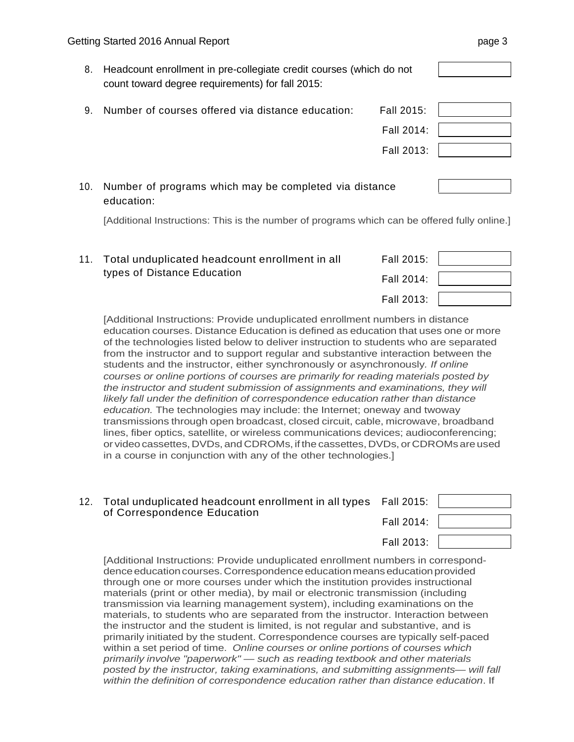8. Headcount enrollment in pre-collegiate credit courses (which do not count toward degree requirements) for fall 2015:

| 9. Number of courses offered via distance education: | Fall 2015: |  |
|------------------------------------------------------|------------|--|
|                                                      | Fall 2014: |  |
|                                                      | Fall 2013: |  |

10. Number of programs which may be completed via distance education:

[Additional Instructions: This is the number of programs which can be offered fully online.]

| 11. Total unduplicated headcount enrollment in all | Fall 2015: |  |
|----------------------------------------------------|------------|--|
| types of Distance Education                        | Fall 2014: |  |
|                                                    | Fall 2013: |  |

[Additional Instructions: Provide unduplicated enrollment numbers in distance education courses. Distance Education is defined as education that uses one or more of the technologies listed below to deliver instruction to students who are separated from the instructor and to support regular and substantive interaction between the students and the instructor, either synchronously or asynchronously*. If online courses or online portions of courses are primarily for reading materials posted by the instructor and student submission of assignments and examinations, they will likely fall under the definition of correspondence education rather than distance education.* The technologies may include: the Internet; oneway and twoway transmissions through open broadcast, closed circuit, cable, microwave, broadband lines, fiber optics, satellite, or wireless communications devices; audioconferencing; or video cassettes, DVDs, and CDROMs, if the cassettes, DVDs, or CDROMs are used in a course in conjunction with any of the other technologies.]

| 12. | Total unduplicated headcount enrollment in all types Fall 2015:<br>of Correspondence Education |            |  |
|-----|------------------------------------------------------------------------------------------------|------------|--|
|     |                                                                                                | Fall 2014: |  |
|     |                                                                                                | Fall 2013: |  |

[Additional Instructions: Provide unduplicated enrollment numbers in corresponddence education courses. Correspondence education means education provided through one or more courses under which the institution provides instructional materials (print or other media), by mail or electronic transmission (including transmission via learning management system), including examinations on the materials, to students who are separated from the instructor. Interaction between the instructor and the student is limited, is not regular and substantive, and is primarily initiated by the student. Correspondence courses are typically self-paced within a set period of time. *Online courses or online portions of courses which primarily involve "paperwork" — such as reading textbook and other materials posted by the instructor, taking examinations, and submitting assignments— will fall within the definition of correspondence education rather than distance education*. If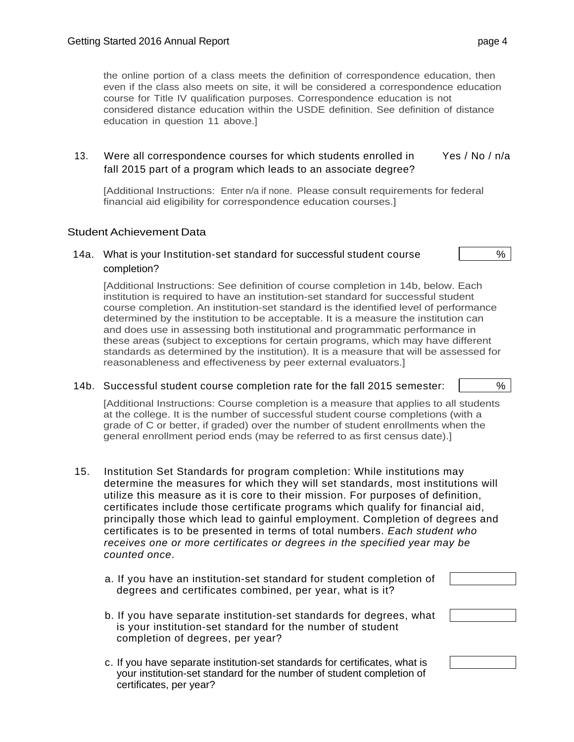the online portion of a class meets the definition of correspondence education, then even if the class also meets on site, it will be considered a correspondence education course for Title IV qualification purposes. Correspondence education is not considered distance education within the USDE definition. See definition of distance education in question 11 above.]

#### 13. Were all correspondence courses for which students enrolled in fall 2015 part of a program which leads to an associate degree? Yes / No / n/a

[Additional Instructions: Enter n/a if none. Please consult requirements for federal financial aid eligibility for correspondence education courses.]

#### Student Achievement Data

#### 14a. What is your Institution-set standard for successful student course  $\sim$  1 completion?

[Additional Instructions: See definition of course completion in 14b, below. Each institution is required to have an institution-set standard for successful student course completion. An institution-set standard is the identified level of performance determined by the institution to be acceptable. It is a measure the institution can and does use in assessing both institutional and programmatic performance in these areas (subject to exceptions for certain programs, which may have different standards as determined by the institution). It is a measure that will be assessed for reasonableness and effectiveness by peer external evaluators.]

14b. Successful student course completion rate for the fall 2015 semester:  $\vert$  %

[Additional Instructions: Course completion is a measure that applies to all students at the college. It is the number of successful student course completions (with a grade of C or better, if graded) over the number of student enrollments when the general enrollment period ends (may be referred to as first census date).]

- 15. Institution Set Standards for program completion: While institutions may determine the measures for which they will set standards, most institutions will utilize this measure as it is core to their mission. For purposes of definition, certificates include those certificate programs which qualify for financial aid, principally those which lead to gainful employment. Completion of degrees and certificates is to be presented in terms of total numbers. *Each student who receives one or more certificates or degrees in the specified year may be counted once*.
	- a. If you have an institution-set standard for student completion of degrees and certificates combined, per year, what is it?

| b. If you have separate institution-set standards for degrees, what |
|---------------------------------------------------------------------|
| is your institution-set standard for the number of student          |
| completion of degrees, per year?                                    |

c. If you have separate institution-set standards for certificates, what is your institution-set standard for the number of student completion of certificates, per year?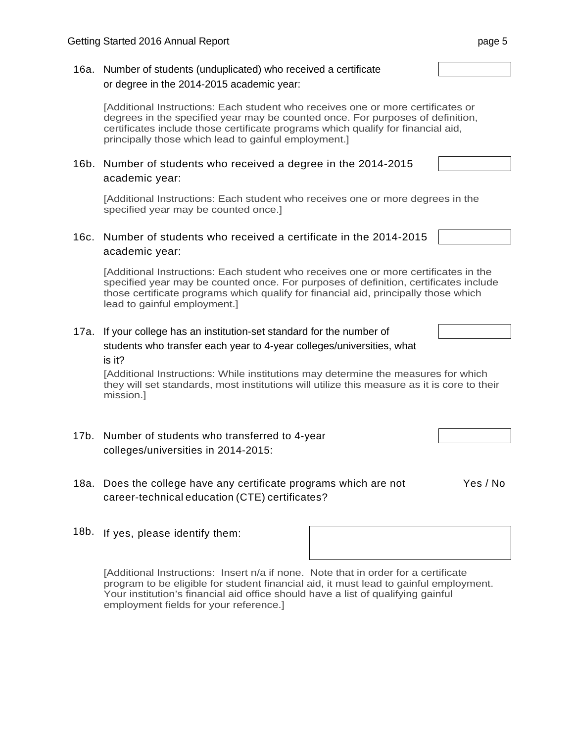#### 16a. Number of students (unduplicated) who received a certificate or degree in the 2014-2015 academic year:

[Additional Instructions: Each student who receives one or more certificates or degrees in the specified year may be counted once. For purposes of definition, certificates include those certificate programs which qualify for financial aid, principally those which lead to gainful employment.]

#### 16b. Number of students who received a degree in the 2014-2015 academic year:

[Additional Instructions: Each student who receives one or more degrees in the specified year may be counted once.]

# 16c. Number of students who received a certificate in the 2014-2015 academic year:

[Additional Instructions: Each student who receives one or more certificates in the specified year may be counted once. For purposes of definition, certificates include those certificate programs which qualify for financial aid, principally those which lead to gainful employment.]

# 17a. If your college has an institution-set standard for the number of students who transfer each year to 4-year colleges/universities, what

is it?

[Additional Instructions: While institutions may determine the measures for which they will set standards, most institutions will utilize this measure as it is core to their mission.]

- 17b. Number of students who transferred to 4-year colleges/universities in 2014-2015:
- 18a. Does the college have any certificate programs which are not Yes / No career-technical education (CTE) certificates?
- 18b. If yes, please identify them:

[Additional Instructions: Insert n/a if none. Note that in order for a certificate program to be eligible for student financial aid, it must lead to gainful employment. Your institution's financial aid office should have a list of qualifying gainful employment fields for your reference.]



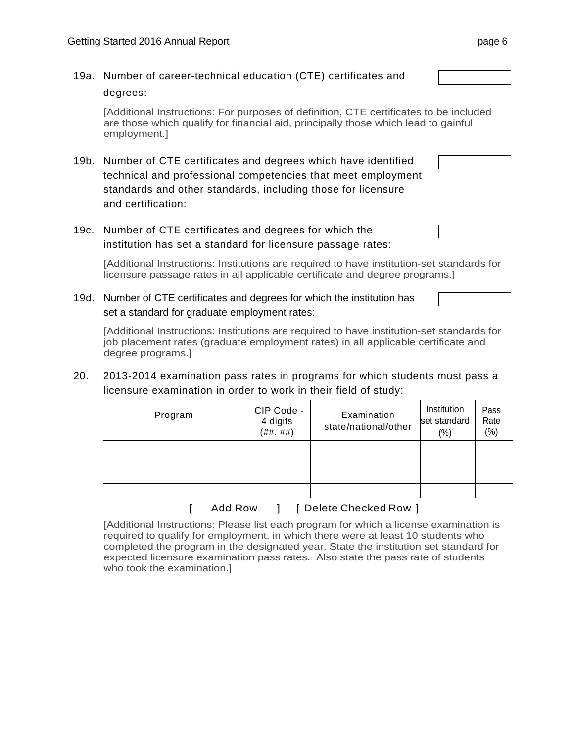# 19a. Number of career-technical education (CTE) certificates and degrees: [Additional Instructions: For purposes of definition, CTE certificates to be included are those which qualify for financial aid, principally those which lead to gainful employment.] 19b. Number of CTE certificates and degrees which have identified technical and professional competencies that meet employment standards and other standards, including those for licensure and certification: 19c. Number of CTE certificates and degrees for which the institution has set a standard for licensure passage rates:

[Additional Instructions: Institutions are required to have institution-set standards for licensure passage rates in all applicable certificate and degree programs.]

19d. Number of CTE certificates and degrees for which the institution has set a standard for graduate employment rates:

[Additional Instructions: Institutions are required to have institution-set standards for job placement rates (graduate employment rates) in all applicable certificate and degree programs.]

20. 2013-2014 examination pass rates in programs for which students must pass a licensure examination in order to work in their field of study:

| Program | CIP Code -<br>4 digits<br>( ##  ## ) | Examination<br>state/national/other | Institution<br>set standard<br>$(\%)$ | Pass<br>Rate<br>(% ) |
|---------|--------------------------------------|-------------------------------------|---------------------------------------|----------------------|
|         |                                      |                                     |                                       |                      |
|         |                                      |                                     |                                       |                      |
|         |                                      |                                     |                                       |                      |
|         |                                      |                                     |                                       |                      |
|         |                                      | $ -$                                |                                       |                      |

Add Row  $\parallel$  [ Delete Checked Row ]

[Additional Instructions: Please list each program for which a license examination is required to qualify for employment, in which there were at least 10 students who completed the program in the designated year. State the institution set standard for expected licensure examination pass rates. Also state the pass rate of students who took the examination.]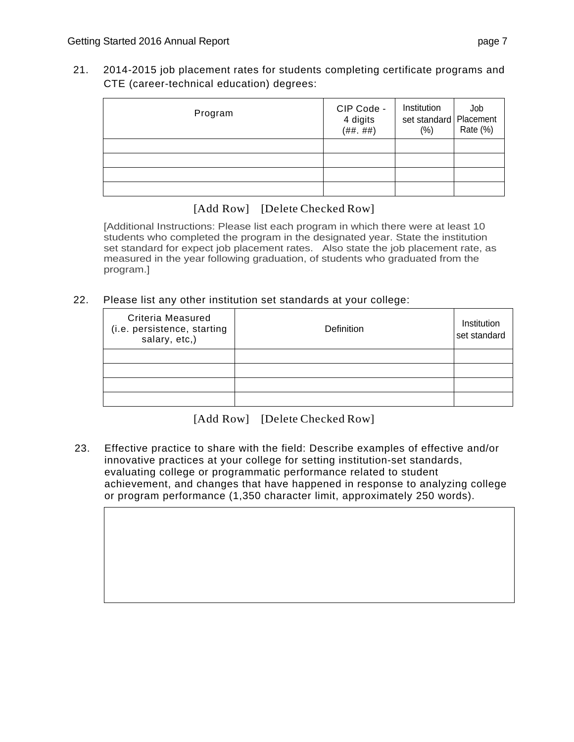21. 2014-2015 job placement rates for students completing certificate programs and CTE (career-technical education) degrees:

| Program | CIP Code -<br>4 digits<br>( ##  ## ) | Institution<br>set standard   Placement<br>$(\%)$ | Job<br>Rate (%) |
|---------|--------------------------------------|---------------------------------------------------|-----------------|
|         |                                      |                                                   |                 |
|         |                                      |                                                   |                 |
|         |                                      |                                                   |                 |
|         |                                      |                                                   |                 |

[Additional Instructions: Please list each program in which there were at least 10 students who completed the program in the designated year. State the institution set standard for expect job placement rates. Also state the job placement rate, as measured in the year following graduation, of students who graduated from the program.]

22. Please list any other institution set standards at your college:

| <b>Criteria Measured</b><br>(i.e. persistence, starting<br>salary, etc,) | Definition | Institution<br>set standard |
|--------------------------------------------------------------------------|------------|-----------------------------|
|                                                                          |            |                             |
|                                                                          |            |                             |
|                                                                          |            |                             |
|                                                                          |            |                             |

[Add Row] [Delete Checked Row]

23. Effective practice to share with the field: Describe examples of effective and/or innovative practices at your college for setting institution-set standards, evaluating college or programmatic performance related to student achievement, and changes that have happened in response to analyzing college or program performance (1,350 character limit, approximately 250 words).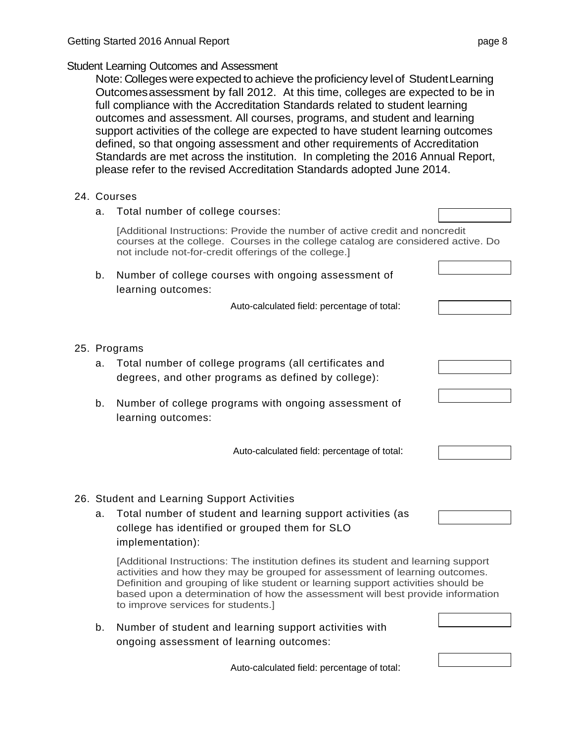#### Student Learning Outcomes and Assessment

Note: Colleges were expected to achieve the proficiency level of Student Learning Outcomes assessment by fall 2012. At this time, colleges are expected to be in full compliance with the Accreditation Standards related to student learning outcomes and assessment. All courses, programs, and student and learning support activities of the college are expected to have student learning outcomes defined, so that ongoing assessment and other requirements of Accreditation Standards are met across the institution. In completing the 2016 Annual Report, please refer to the revised Accreditation Standards adopted June 2014.

#### 24. Courses

| a.       | Total number of college courses:                                                                                                                                                                                         |  |
|----------|--------------------------------------------------------------------------------------------------------------------------------------------------------------------------------------------------------------------------|--|
|          | [Additional Instructions: Provide the number of active credit and noncredit<br>courses at the college. Courses in the college catalog are considered active. Do<br>not include not-for-credit offerings of the college.] |  |
| b.       | Number of college courses with ongoing assessment of<br>learning outcomes:                                                                                                                                               |  |
|          | Auto-calculated field: percentage of total:                                                                                                                                                                              |  |
| a.<br>b. | 25. Programs<br>Total number of college programs (all certificates and<br>degrees, and other programs as defined by college):<br>Number of college programs with ongoing assessment of                                   |  |
|          | learning outcomes:<br>Auto-calculated field: percentage of total:                                                                                                                                                        |  |
|          | 26. Student and Learning Support Activities                                                                                                                                                                              |  |

# 26. Student and Learning Support Activities

a. Total number of student and learning support activities (as college has identified or grouped them for SLO implementation):

[Additional Instructions: The institution defines its student and learning support activities and how they may be grouped for assessment of learning outcomes. Definition and grouping of like student or learning support activities should be based upon a determination of how the assessment will best provide information to improve services for students.]

b. Number of student and learning support activities with ongoing assessment of learning outcomes:

Auto-calculated field: percentage of total: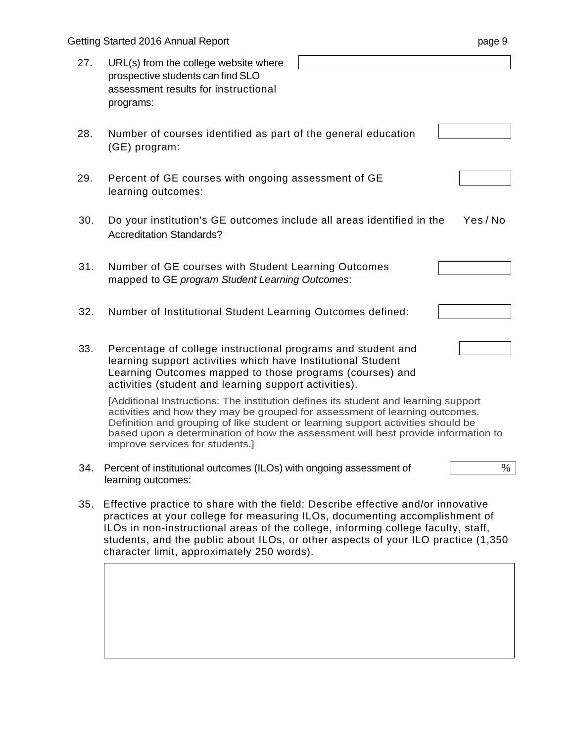|     | Getting Started 2016 Annual Report<br>page 9                                                                                                                                                                                                                                                                                                                                            |  |  |  |
|-----|-----------------------------------------------------------------------------------------------------------------------------------------------------------------------------------------------------------------------------------------------------------------------------------------------------------------------------------------------------------------------------------------|--|--|--|
| 27. | URL(s) from the college website where<br>prospective students can find SLO<br>assessment results for instructional<br>programs:                                                                                                                                                                                                                                                         |  |  |  |
| 28. | Number of courses identified as part of the general education<br>(GE) program:                                                                                                                                                                                                                                                                                                          |  |  |  |
| 29. | Percent of GE courses with ongoing assessment of GE<br>learning outcomes:                                                                                                                                                                                                                                                                                                               |  |  |  |
| 30. | Yes/No<br>Do your institution's GE outcomes include all areas identified in the<br><b>Accreditation Standards?</b>                                                                                                                                                                                                                                                                      |  |  |  |
| 31. | Number of GE courses with Student Learning Outcomes<br>mapped to GE program Student Learning Outcomes:                                                                                                                                                                                                                                                                                  |  |  |  |
| 32. | Number of Institutional Student Learning Outcomes defined:                                                                                                                                                                                                                                                                                                                              |  |  |  |
| 33. | Percentage of college instructional programs and student and<br>learning support activities which have Institutional Student<br>Learning Outcomes mapped to those programs (courses) and<br>activities (student and learning support activities).                                                                                                                                       |  |  |  |
|     | [Additional Instructions: The institution defines its student and learning support<br>activities and how they may be grouped for assessment of learning outcomes.<br>Definition and grouping of like student or learning support activities should be<br>based upon a determination of how the assessment will best provide information to<br>improve services for students.]           |  |  |  |
| 34. | Percent of institutional outcomes (ILOs) with ongoing assessment of<br>$\%$<br>learning outcomes:                                                                                                                                                                                                                                                                                       |  |  |  |
| 35. | Effective practice to share with the field: Describe effective and/or innovative<br>practices at your college for measuring ILOs, documenting accomplishment of<br>ILOs in non-instructional areas of the college, informing college faculty, staff,<br>students, and the public about ILOs, or other aspects of your ILO practice (1,350<br>character limit, approximately 250 words). |  |  |  |
|     |                                                                                                                                                                                                                                                                                                                                                                                         |  |  |  |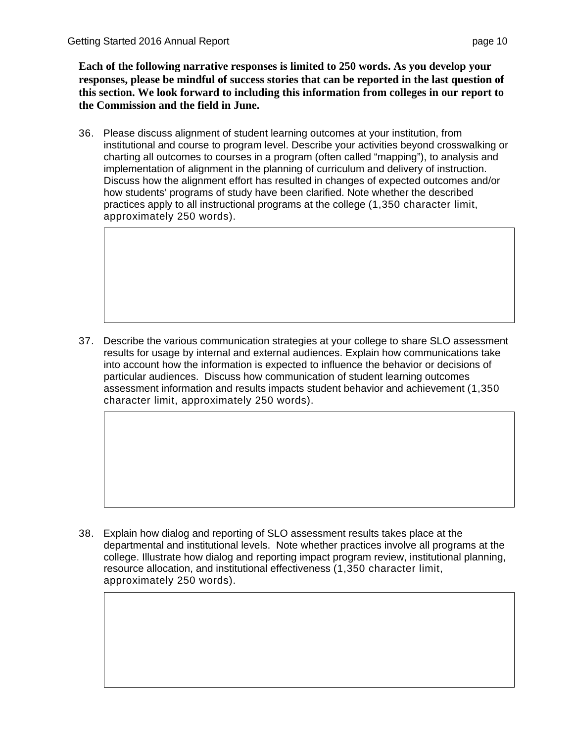**Each of the following narrative responses is limited to 250 words. As you develop your responses, please be mindful of success stories that can be reported in the last question of this section. We look forward to including this information from colleges in our report to the Commission and the field in June.** 

36. Please discuss alignment of student learning outcomes at your institution, from institutional and course to program level. Describe your activities beyond crosswalking or charting all outcomes to courses in a program (often called "mapping"), to analysis and implementation of alignment in the planning of curriculum and delivery of instruction. Discuss how the alignment effort has resulted in changes of expected outcomes and/or how students' programs of study have been clarified. Note whether the described practices apply to all instructional programs at the college (1,350 character limit, approximately 250 words).

37. Describe the various communication strategies at your college to share SLO assessment results for usage by internal and external audiences. Explain how communications take into account how the information is expected to influence the behavior or decisions of particular audiences. Discuss how communication of student learning outcomes assessment information and results impacts student behavior and achievement (1,350 character limit, approximately 250 words).

38. Explain how dialog and reporting of SLO assessment results takes place at the departmental and institutional levels. Note whether practices involve all programs at the college. Illustrate how dialog and reporting impact program review, institutional planning, resource allocation, and institutional effectiveness (1,350 character limit, approximately 250 words).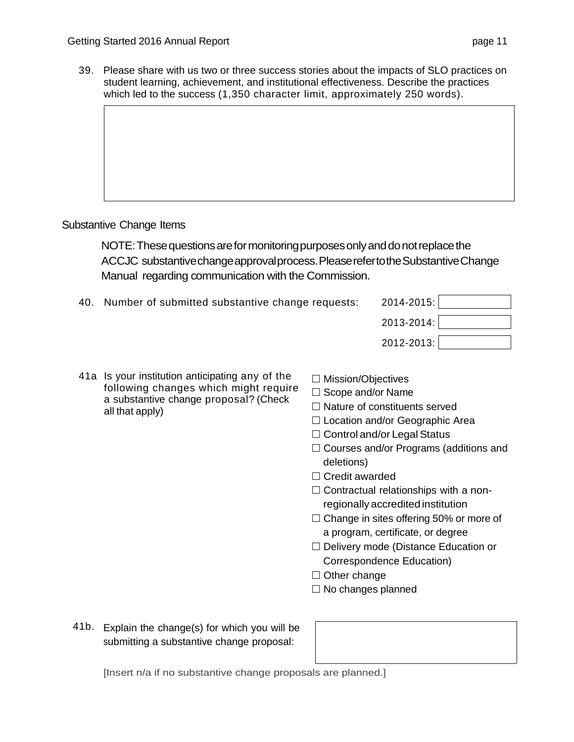39. Please share with us two or three success stories about the impacts of SLO practices on student learning, achievement, and institutional effectiveness. Describe the practices which led to the success (1,350 character limit, approximately 250 words).

# Substantive Change Items

NOTE: These questions are for monitoring purposes only and do not replace the ACCJC substantive change approval process. Please refer to the Substantive Change Manual regarding communication with the Commission.

- 40. Number of submitted substantive change requests: 2014-2015:
	- 2013-2014: 2012-2013:

- 41a Is your institution anticipating any of the following changes which might require a substantive change proposal? (Check all that apply)
- $\Box$  Mission/Objectives
- $\square$  Scope and/or Name
- $\Box$  Nature of constituents served
- $\Box$  Location and/or Geographic Area
- □ Control and/or Legal Status
- $\Box$  Courses and/or Programs (additions and deletions)
- $\Box$  Credit awarded
- $\Box$  Contractual relationships with a nonregionally accredited institution
- $\Box$  Change in sites offering 50% or more of a program, certificate, or degree
- □ Delivery mode (Distance Education or Correspondence Education)
- $\Box$  Other change
- $\Box$  No changes planned
- 41b. Explain the change(s) for which you will be submitting a substantive change proposal:

[Insert n/a if no substantive change proposals are planned.]